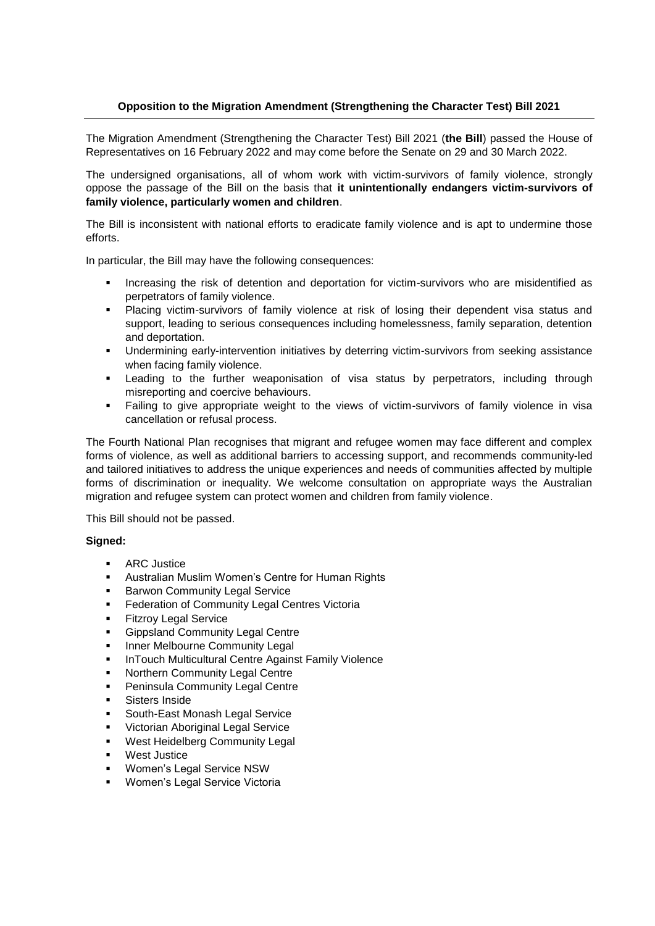## **Opposition to the Migration Amendment (Strengthening the Character Test) Bill 2021**

The Migration Amendment (Strengthening the Character Test) Bill 2021 (**the Bill**) passed the House of Representatives on 16 February 2022 and may come before the Senate on 29 and 30 March 2022.

The undersigned organisations, all of whom work with victim-survivors of family violence, strongly oppose the passage of the Bill on the basis that **it unintentionally endangers victim-survivors of family violence, particularly women and children**.

The Bill is inconsistent with national efforts to eradicate family violence and is apt to undermine those efforts.

In particular, the Bill may have the following consequences:

- Increasing the risk of detention and deportation for victim-survivors who are misidentified as perpetrators of family violence.
- Placing victim-survivors of family violence at risk of losing their dependent visa status and support, leading to serious consequences including homelessness, family separation, detention and deportation.
- Undermining early-intervention initiatives by deterring victim-survivors from seeking assistance when facing family violence.
- Leading to the further weaponisation of visa status by perpetrators, including through misreporting and coercive behaviours.
- Failing to give appropriate weight to the views of victim-survivors of family violence in visa cancellation or refusal process.

The Fourth National Plan recognises that migrant and refugee women may face different and complex forms of violence, as well as additional barriers to accessing support, and recommends community-led and tailored initiatives to address the unique experiences and needs of communities affected by multiple forms of discrimination or inequality. We welcome consultation on appropriate ways the Australian migration and refugee system can protect women and children from family violence.

This Bill should not be passed.

## **Signed:**

- **ARC** Justice
- Australian Muslim Women's Centre for Human Rights
- Barwon Community Legal Service
- Federation of Community Legal Centres Victoria
- Fitzroy Legal Service
- **Gippsland Community Legal Centre**
- Inner Melbourne Community Legal
- InTouch Multicultural Centre Against Family Violence
- Northern Community Legal Centre
- **Peninsula Community Legal Centre**
- Sisters Inside
- South-East Monash Legal Service
- Victorian Aboriginal Legal Service
- West Heidelberg Community Legal
- West Justice
- Women's Legal Service NSW
- Women's Legal Service Victoria